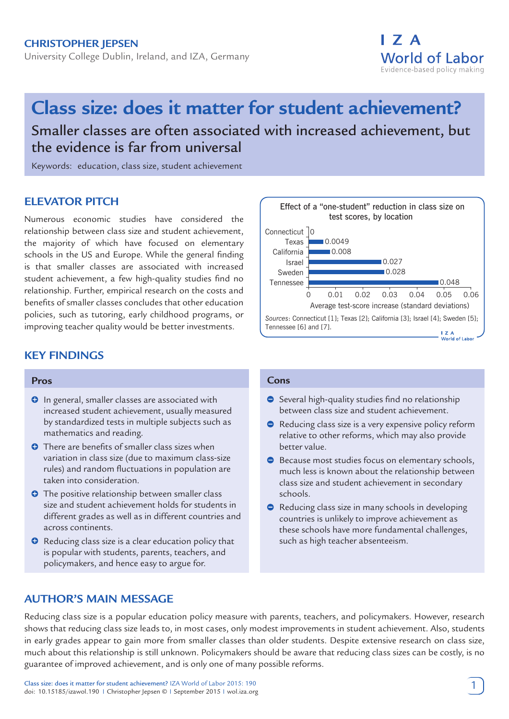## **Christopher Jepsen**

University College Dublin, Ireland, and IZA, Germany

# **Class size: does it matter for student achievement?**

Smaller classes are often associated with increased achievement, but the evidence is far from universal

Keywords: education, class size, student achievement

## **ELEVATOR PITCH**

Numerous economic studies have considered the relationship between class size and student achievement, the majority of which have focused on elementary schools in the US and Europe. While the general finding is that smaller classes are associated with increased student achievement, a few high-quality studies find no relationship. Further, empirical research on the costs and benefits of smaller classes concludes that other education policies, such as tutoring, early childhood programs, or improving teacher quality would be better investments.

# **KEY FINDINGS**

#### **Pros**

- $\Theta$  In general, smaller classes are associated with increased student achievement, usually measured by standardized tests in multiple subjects such as mathematics and reading.
- **O** There are benefits of smaller class sizes when variation in class size (due to maximum class-size rules) and random fluctuations in population are taken into consideration.
- **O** The positive relationship between smaller class size and student achievement holds for students in different grades as well as in different countries and across continents.
- **•** Reducing class size is a clear education policy that is popular with students, parents, teachers, and policymakers, and hence easy to argue for.



I 7 A

**World of Labor** Evidence-based policy making

#### **Cons**

- $\bullet$  Several high-quality studies find no relationship between class size and student achievement.
- Reducing class size is a very expensive policy reform relative to other reforms, which may also provide better value.
- **Because most studies focus on elementary schools,** much less is known about the relationship between class size and student achievement in secondary schools.
- Reducing class size in many schools in developing countries is unlikely to improve achievement as these schools have more fundamental challenges, such as high teacher absenteeism.

# **AUTHOR'S MAIN MESSAGE**

Reducing class size is a popular education policy measure with parents, teachers, and policymakers. However, research shows that reducing class size leads to, in most cases, only modest improvements in student achievement. Also, students in early grades appear to gain more from smaller classes than older students. Despite extensive research on class size, much about this relationship is still unknown. Policymakers should be aware that reducing class sizes can be costly, is no guarantee of improved achievement, and is only one of many possible reforms.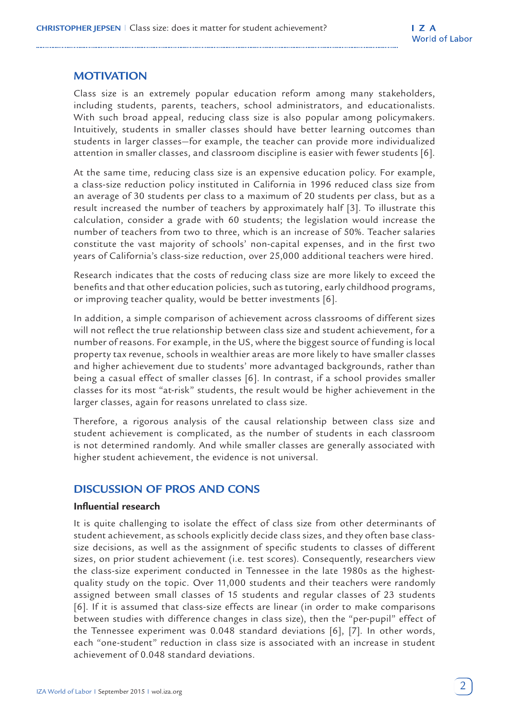# **MOTI VATION**

Class size is an extremely popular education reform among many stakeholders, including students, parents, teachers, school administrators, and educationalists. With such broad appeal, reducing class size is also popular among policymakers. Intuitively, students in smaller classes should have better learning outcomes than students in larger classes—for example, the teacher can provide more individualized attention in smaller classes, and classroom discipline is easier with fewer students [6].

At the same time, reducing class size is an expensive education policy. For example, a class-size reduction policy instituted in California in 1996 reduced class size from an average of 30 students per class to a maximum of 20 students per class, but as a result increased the number of teachers by approximately half [3]. To illustrate this calculation, consider a grade with 60 students; the legislation would increase the number of teachers from two to three, which is an increase of 50%. Teacher salaries constitute the vast majority of schools' non-capital expenses, and in the first two years of California's class-size reduction, over 25,000 additional teachers were hired.

Research indicates that the costs of reducing class size are more likely to exceed the benefits and that other education policies, such as tutoring, early childhood programs, or improving teacher quality, would be better investments [6].

In addition, a simple comparison of achievement across classrooms of different sizes will not reflect the true relationship between class size and student achievement, for a number of reasons. For example, in the US, where the biggest source of funding is local property tax revenue, schools in wealthier areas are more likely to have smaller classes and higher achievement due to students' more advantaged backgrounds, rather than being a casual effect of smaller classes [6]. In contrast, if a school provides smaller classes for its most "at-risk" students, the result would be higher achievement in the larger classes, again for reasons unrelated to class size.

Therefore, a rigorous analysis of the causal relationship between class size and student achievement is complicated, as the number of students in each classroom is not determined randomly. And while smaller classes are generally associated with higher student achievement, the evidence is not universal.

# **DIS CUSSION OF PROS AND CONS**

### **Influential research**

It is quite challenging to isolate the effect of class size from other determinants of student achievement, as schools explicitly decide class sizes, and they often base classsize decisions, as well as the assignment of specific students to classes of different sizes, on prior student achievement (i.e. test scores). Consequently, researchers view the class-size experiment conducted in Tennessee in the late 1980s as the highestquality study on the topic. Over 11,000 students and their teachers were randomly assigned between small classes of 15 students and regular classes of 23 students [6]. If it is assumed that class-size effects are linear (in order to make comparisons between studies with difference changes in class size), then the "per-pupil" effect of the Tennessee experiment was 0.048 standard deviations [6], [7]. In other words, each "one-student" reduction in class size is associated with an increase in student achievement of 0.048 standard deviations.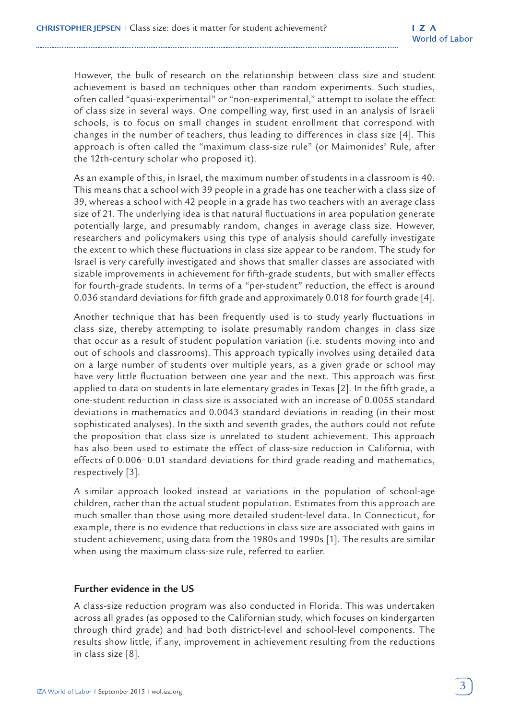However, the bulk of research on the relationship between class size and student achievement is based on techniques other than random experiments. Such studies, often called "quasi-experimental" or "non-experimental," attempt to isolate the effect of class size in several ways. One compelling way, first used in an analysis of Israeli schools, is to focus on small changes in student enrollment that correspond with changes in the number of teachers, thus leading to differences in class size [4]. This approach is often called the "maximum class-size rule" (or Maimonides' Rule, after the 12th-century scholar who proposed it).

As an example of this, in Israel, the maximum number of students in a classroom is 40. This means that a school with 39 people in a grade has one teacher with a class size of 39, whereas a school with 42 people in a grade has two teachers with an average class size of 21. The underlying idea is that natural fluctuations in area population generate potentially large, and presumably random, changes in average class size. However, researchers and policymakers using this type of analysis should carefully investigate the extent to which these fluctuations in class size appear to be random. The study for Israel is very carefully investigated and shows that smaller classes are associated with sizable improvements in achievement for fifth-grade students, but with smaller effects for fourth-grade students. In terms of a "per-student" reduction, the effect is around 0.036 standard deviations for fifth grade and approximately 0.018 for fourth grade [4].

Another technique that has been frequently used is to study yearly fluctuations in class size, thereby attempting to isolate presumably random changes in class size that occur as a result of student population variation (i.e. students moving into and out of schools and classrooms). This approach typically involves using detailed data on a large number of students over multiple years, as a given grade or school may have very little fluctuation between one year and the next. This approach was first applied to data on students in late elementary grades in Texas [2]. In the fifth grade, a one-student reduction in class size is associated with an increase of 0.0055 standard deviations in mathematics and 0.0043 standard deviations in reading (in their most sophisticated analyses). In the sixth and seventh grades, the authors could not refute the proposition that class size is unrelated to student achievement. This approach has also been used to estimate the effect of class-size reduction in California, with effects of 0.006−0.01 standard deviations for third grade reading and mathematics, respectively [3].

A similar approach looked instead at variations in the population of school-age children, rather than the actual student population. Estimates from this approach are much smaller than those using more detailed student-level data. In Connecticut, for example, there is no evidence that reductions in class size are associated with gains in student achievement, using data from the 1980s and 1990s [1]. The results are similar when using the maximum class-size rule, referred to earlier.

### **Further evidence in the US**

A class-size reduction program was also conducted in Florida. This was undertaken across all grades (as opposed to the Californian study, which focuses on kindergarten through third grade) and had both district-level and school-level components. The results show little, if any, improvement in achievement resulting from the reductions in class size [8].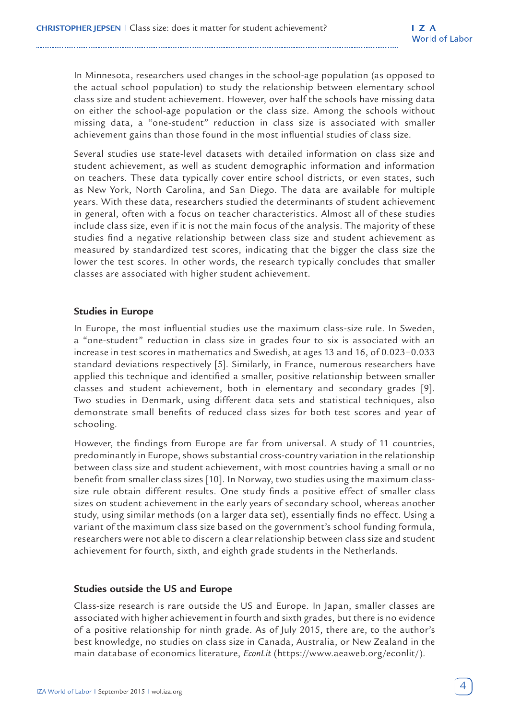In Minnesota, researchers used changes in the school-age population (as opposed to the actual school population) to study the relationship between elementary school class size and student achievement. However, over half the schools have missing data on either the school-age population or the class size. Among the schools without missing data, a "one-student" reduction in class size is associated with smaller achievement gains than those found in the most influential studies of class size.

Several studies use state-level datasets with detailed information on class size and student achievement, as well as student demographic information and information on teachers. These data typically cover entire school districts, or even states, such as New York, North Carolina, and San Diego. The data are available for multiple years. With these data, researchers studied the determinants of student achievement in general, often with a focus on teacher characteristics. Almost all of these studies include class size, even if it is not the main focus of the analysis. The majority of these studies find a negative relationship between class size and student achievement as measured by standardized test scores, indicating that the bigger the class size the lower the test scores. In other words, the research typically concludes that smaller classes are associated with higher student achievement.

## **Studies in Europe**

In Europe, the most influential studies use the maximum class-size rule. In Sweden, a "one-student" reduction in class size in grades four to six is associated with an increase in test scores in mathematics and Swedish, at ages 13 and 16, of 0.023−0.033 standard deviations respectively [5]. Similarly, in France, numerous researchers have applied this technique and identified a smaller, positive relationship between smaller classes and student achievement, both in elementary and secondary grades [9]. Two studies in Denmark, using different data sets and statistical techniques, also demonstrate small benefits of reduced class sizes for both test scores and year of schooling.

However, the findings from Europe are far from universal. A study of 11 countries, predominantly in Europe, shows substantial cross-country variation in the relationship between class size and student achievement, with most countries having a small or no benefit from smaller class sizes [10]. In Norway, two studies using the maximum classsize rule obtain different results. One study finds a positive effect of smaller class sizes on student achievement in the early years of secondary school, whereas another study, using similar methods (on a larger data set), essentially finds no effect. Using a variant of the maximum class size based on the government's school funding formula, researchers were not able to discern a clear relationship between class size and student achievement for fourth, sixth, and eighth grade students in the Netherlands.

### **Studies outside the US and Europe**

Class-size research is rare outside the US and Europe. In Japan, smaller classes are associated with higher achievement in fourth and sixth grades, but there is no evidence of a positive relationship for ninth grade. As of July 2015, there are, to the author's best knowledge, no studies on class size in Canada, Australia, or New Zealand in the main database of economics literature, *EconLit* (https://www.aeaweb.org/econlit/).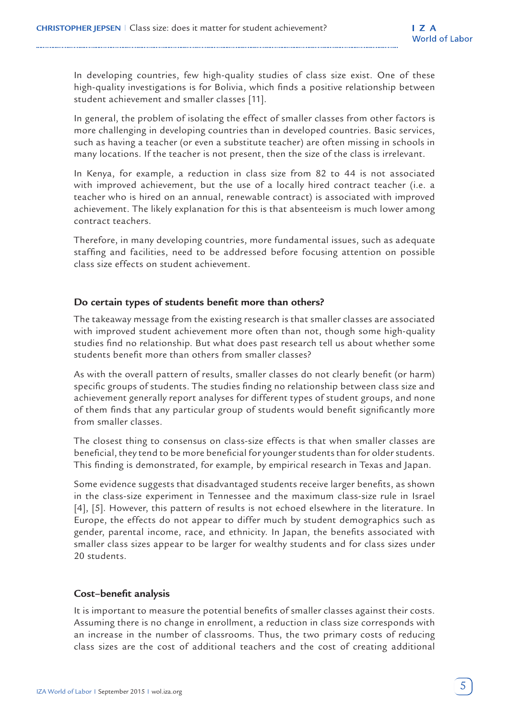In developing countries, few high-quality studies of class size exist. One of these high-quality investigations is for Bolivia, which finds a positive relationship between student achievement and smaller classes [11].

In general, the problem of isolating the effect of smaller classes from other factors is more challenging in developing countries than in developed countries. Basic services, such as having a teacher (or even a substitute teacher) are often missing in schools in many locations. If the teacher is not present, then the size of the class is irrelevant.

In Kenya, for example, a reduction in class size from 82 to 44 is not associated with improved achievement, but the use of a locally hired contract teacher (i.e. a teacher who is hired on an annual, renewable contract) is associated with improved achievement. The likely explanation for this is that absenteeism is much lower among contract teachers.

Therefore, in many developing countries, more fundamental issues, such as adequate staffing and facilities, need to be addressed before focusing attention on possible class size effects on student achievement.

## **Do certain types of students benefit more than others?**

The takeaway message from the existing research is that smaller classes are associated with improved student achievement more often than not, though some high-quality studies find no relationship. But what does past research tell us about whether some students benefit more than others from smaller classes?

As with the overall pattern of results, smaller classes do not clearly benefit (or harm) specific groups of students. The studies finding no relationship between class size and achievement generally report analyses for different types of student groups, and none of them finds that any particular group of students would benefit significantly more from smaller classes.

The closest thing to consensus on class-size effects is that when smaller classes are beneficial, they tend to be more beneficial for younger students than for older students. This finding is demonstrated, for example, by empirical research in Texas and Japan.

Some evidence suggests that disadvantaged students receive larger benefits, as shown in the class-size experiment in Tennessee and the maximum class-size rule in Israel [4], [5]. However, this pattern of results is not echoed elsewhere in the literature. In Europe, the effects do not appear to differ much by student demographics such as gender, parental income, race, and ethnicity. In Japan, the benefits associated with smaller class sizes appear to be larger for wealthy students and for class sizes under 20 students.

## **Cost–benefit analysis**

It is important to measure the potential benefits of smaller classes against their costs. Assuming there is no change in enrollment, a reduction in class size corresponds with an increase in the number of classrooms. Thus, the two primary costs of reducing class sizes are the cost of additional teachers and the cost of creating additional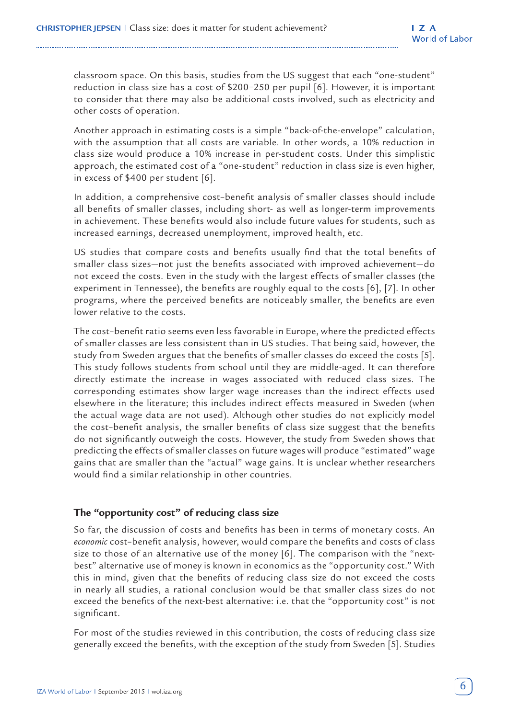classroom space. On this basis, studies from the US suggest that each "one-student" reduction in class size has a cost of \$200−250 per pupil [6]. However, it is important to consider that there may also be additional costs involved, such as electricity and other costs of operation.

Another approach in estimating costs is a simple "back-of-the-envelope" calculation, with the assumption that all costs are variable. In other words, a 10% reduction in class size would produce a 10% increase in per-student costs. Under this simplistic approach, the estimated cost of a "one-student" reduction in class size is even higher, in excess of \$400 per student [6].

In addition, a comprehensive cost–benefit analysis of smaller classes should include all benefits of smaller classes, including short- as well as longer-term improvements in achievement. These benefits would also include future values for students, such as increased earnings, decreased unemployment, improved health, etc.

US studies that compare costs and benefits usually find that the total benefits of smaller class sizes—not just the benefits associated with improved achievement—do not exceed the costs. Even in the study with the largest effects of smaller classes (the experiment in Tennessee), the benefits are roughly equal to the costs [6], [7]. In other programs, where the perceived benefits are noticeably smaller, the benefits are even lower relative to the costs.

The cost–benefit ratio seems even less favorable in Europe, where the predicted effects of smaller classes are less consistent than in US studies. That being said, however, the study from Sweden argues that the benefits of smaller classes do exceed the costs [5]. This study follows students from school until they are middle-aged. It can therefore directly estimate the increase in wages associated with reduced class sizes. The corresponding estimates show larger wage increases than the indirect effects used elsewhere in the literature; this includes indirect effects measured in Sweden (when the actual wage data are not used). Although other studies do not explicitly model the cost–benefit analysis, the smaller benefits of class size suggest that the benefits do not significantly outweigh the costs. However, the study from Sweden shows that predicting the effects of smaller classes on future wages will produce "estimated" wage gains that are smaller than the "actual" wage gains. It is unclear whether researchers would find a similar relationship in other countries.

### **The "opportunity cost" of reducing class size**

So far, the discussion of costs and benefits has been in terms of monetary costs. An *economic* cost–benefit analysis, however, would compare the benefits and costs of class size to those of an alternative use of the money [6]. The comparison with the "nextbest" alternative use of money is known in economics as the "opportunity cost." With this in mind, given that the benefits of reducing class size do not exceed the costs in nearly all studies, a rational conclusion would be that smaller class sizes do not exceed the benefits of the next-best alternative: i.e. that the "opportunity cost" is not significant.

For most of the studies reviewed in this contribution, the costs of reducing class size generally exceed the benefits, with the exception of the study from Sweden [5]. Studies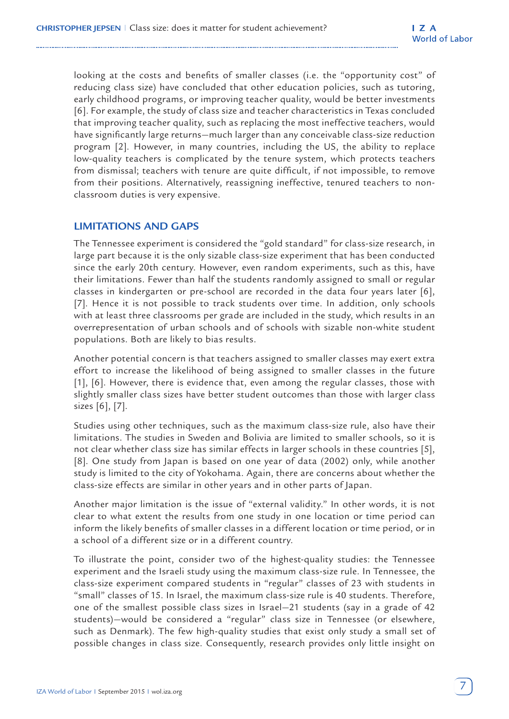looking at the costs and benefits of smaller classes (i.e. the "opportunity cost" of reducing class size) have concluded that other education policies, such as tutoring, early childhood programs, or improving teacher quality, would be better investments [6]. For example, the study of class size and teacher characteristics in Texas concluded that improving teacher quality, such as replacing the most ineffective teachers, would have significantly large returns—much larger than any conceivable class-size reduction program [2]. However, in many countries, including the US, the ability to replace low-quality teachers is complicated by the tenure system, which protects teachers from dismissal; teachers with tenure are quite difficult, if not impossible, to remove from their positions. Alternatively, reassigning ineffective, tenured teachers to nonclassroom duties is very expensive.

## **LIMITATIONS AND GAPS**

The Tennessee experiment is considered the "gold standard" for class-size research, in large part because it is the only sizable class-size experiment that has been conducted since the early 20th century. However, even random experiments, such as this, have their limitations. Fewer than half the students randomly assigned to small or regular classes in kindergarten or pre-school are recorded in the data four years later [6], [7]. Hence it is not possible to track students over time. In addition, only schools with at least three classrooms per grade are included in the study, which results in an overrepresentation of urban schools and of schools with sizable non-white student populations. Both are likely to bias results.

Another potential concern is that teachers assigned to smaller classes may exert extra effort to increase the likelihood of being assigned to smaller classes in the future [1], [6]. However, there is evidence that, even among the regular classes, those with slightly smaller class sizes have better student outcomes than those with larger class sizes [6], [7].

Studies using other techniques, such as the maximum class-size rule, also have their limitations. The studies in Sweden and Bolivia are limited to smaller schools, so it is not clear whether class size has similar effects in larger schools in these countries [5], [8]. One study from Japan is based on one year of data (2002) only, while another study is limited to the city of Yokohama. Again, there are concerns about whether the class-size effects are similar in other years and in other parts of Japan.

Another major limitation is the issue of "external validity." In other words, it is not clear to what extent the results from one study in one location or time period can inform the likely benefits of smaller classes in a different location or time period, or in a school of a different size or in a different country.

To illustrate the point, consider two of the highest-quality studies: the Tennessee experiment and the Israeli study using the maximum class-size rule. In Tennessee, the class-size experiment compared students in "regular" classes of 23 with students in "small" classes of 15. In Israel, the maximum class-size rule is 40 students. Therefore, one of the smallest possible class sizes in Israel—21 students (say in a grade of 42 students)—would be considered a "regular" class size in Tennessee (or elsewhere, such as Denmark). The few high-quality studies that exist only study a small set of possible changes in class size. Consequently, research provides only little insight on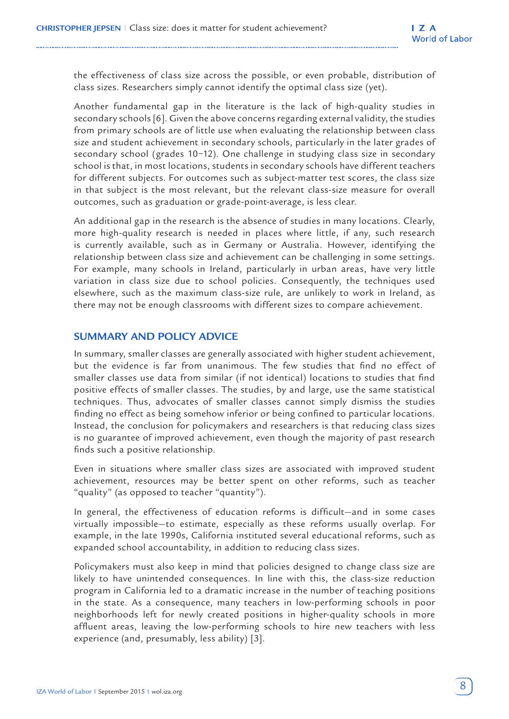the effectiveness of class size across the possible, or even probable, distribution of class sizes. Researchers simply cannot identify the optimal class size (yet).

Another fundamental gap in the literature is the lack of high-quality studies in secondary schools [6]. Given the above concerns regarding external validity, the studies from primary schools are of little use when evaluating the relationship between class size and student achievement in secondary schools, particularly in the later grades of secondary school (grades 10−12). One challenge in studying class size in secondary school is that, in most locations, students in secondary schools have different teachers for different subjects. For outcomes such as subject-matter test scores, the class size in that subject is the most relevant, but the relevant class-size measure for overall outcomes, such as graduation or grade-point-average, is less clear.

An additional gap in the research is the absence of studies in many locations. Clearly, more high-quality research is needed in places where little, if any, such research is currently available, such as in Germany or Australia. However, identifying the relationship between class size and achievement can be challenging in some settings. For example, many schools in Ireland, particularly in urban areas, have very little variation in class size due to school policies. Consequently, the techniques used elsewhere, such as the maximum class-size rule, are unlikely to work in Ireland, as there may not be enough classrooms with different sizes to compare achievement.

## **SUMMARY AND POLICY ADVICE**

In summary, smaller classes are generally associated with higher student achievement, but the evidence is far from unanimous. The few studies that find no effect of smaller classes use data from similar (if not identical) locations to studies that find positive effects of smaller classes. The studies, by and large, use the same statistical techniques. Thus, advocates of smaller classes cannot simply dismiss the studies finding no effect as being somehow inferior or being confined to particular locations. Instead, the conclusion for policymakers and researchers is that reducing class sizes is no guarantee of improved achievement, even though the majority of past research finds such a positive relationship.

Even in situations where smaller class sizes are associated with improved student achievement, resources may be better spent on other reforms, such as teacher "quality" (as opposed to teacher "quantity").

In general, the effectiveness of education reforms is difficult—and in some cases virtually impossible—to estimate, especially as these reforms usually overlap. For example, in the late 1990s, California instituted several educational reforms, such as expanded school accountability, in addition to reducing class sizes.

Policymakers must also keep in mind that policies designed to change class size are likely to have unintended consequences. In line with this, the class-size reduction program in California led to a dramatic increase in the number of teaching positions in the state. As a consequence, many teachers in low-performing schools in poor neighborhoods left for newly created positions in higher-quality schools in more affluent areas, leaving the low-performing schools to hire new teachers with less experience (and, presumably, less ability) [3].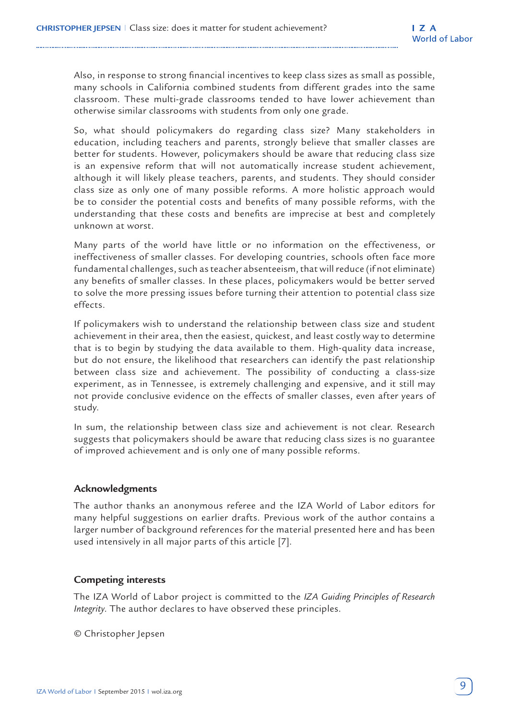Also, in response to strong financial incentives to keep class sizes as small as possible, many schools in California combined students from different grades into the same classroom. These multi-grade classrooms tended to have lower achievement than otherwise similar classrooms with students from only one grade.

So, what should policymakers do regarding class size? Many stakeholders in education, including teachers and parents, strongly believe that smaller classes are better for students. However, policymakers should be aware that reducing class size is an expensive reform that will not automatically increase student achievement, although it will likely please teachers, parents, and students. They should consider class size as only one of many possible reforms. A more holistic approach would be to consider the potential costs and benefits of many possible reforms, with the understanding that these costs and benefits are imprecise at best and completely unknown at worst.

Many parts of the world have little or no information on the effectiveness, or ineffectiveness of smaller classes. For developing countries, schools often face more fundamental challenges, such as teacher absenteeism, that will reduce (if not eliminate) any benefits of smaller classes. In these places, policymakers would be better served to solve the more pressing issues before turning their attention to potential class size effects.

If policymakers wish to understand the relationship between class size and student achievement in their area, then the easiest, quickest, and least costly way to determine that is to begin by studying the data available to them. High-quality data increase, but do not ensure, the likelihood that researchers can identify the past relationship between class size and achievement. The possibility of conducting a class-size experiment, as in Tennessee, is extremely challenging and expensive, and it still may not provide conclusive evidence on the effects of smaller classes, even after years of study.

In sum, the relationship between class size and achievement is not clear. Research suggests that policymakers should be aware that reducing class sizes is no guarantee of improved achievement and is only one of many possible reforms.

## **Acknowledgments**

The author thanks an anonymous referee and the IZA World of Labor editors for many helpful suggestions on earlier drafts. Previous work of the author contains a larger number of background references for the material presented here and has been used intensively in all major parts of this article [7].

## **Competing interests**

The IZA World of Labor project is committed to the *IZA Guiding Principles of Research Integrity*. The author declares to have observed these principles.

© Christopher Jepsen